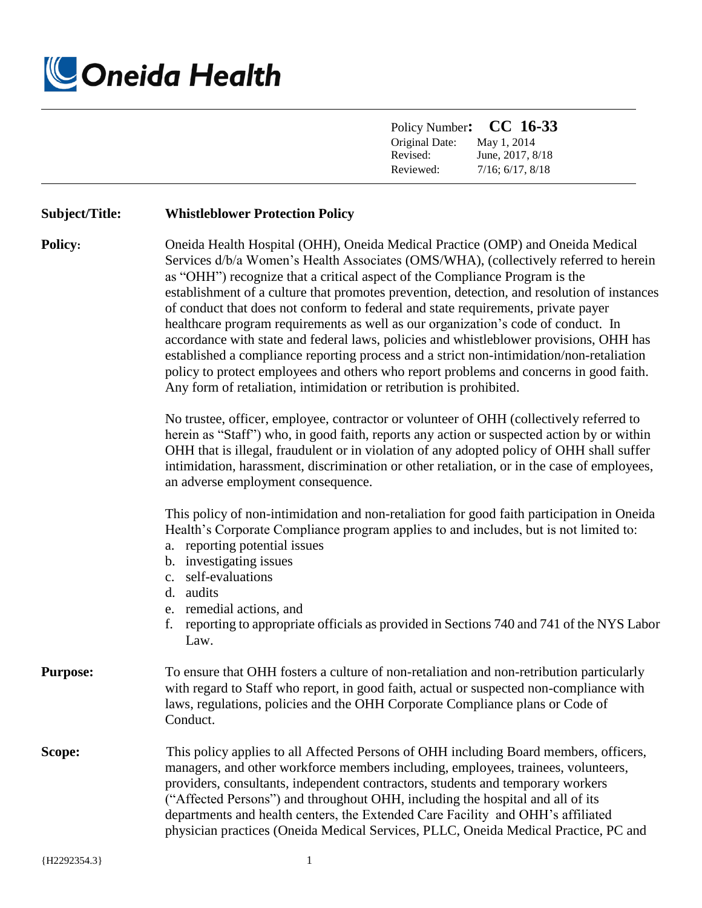

|                 | CC 16-33<br>Policy Number:<br>Original Date:<br>May 1, 2014<br>Revised:<br>June, 2017, 8/18<br>Reviewed:<br>$7/16$ ; $6/17$ , $8/18$                                                                                                                                                                                                                                                                                                                                                                                                                                                                                                                                                                                                                                                                                                                                                  |
|-----------------|---------------------------------------------------------------------------------------------------------------------------------------------------------------------------------------------------------------------------------------------------------------------------------------------------------------------------------------------------------------------------------------------------------------------------------------------------------------------------------------------------------------------------------------------------------------------------------------------------------------------------------------------------------------------------------------------------------------------------------------------------------------------------------------------------------------------------------------------------------------------------------------|
| Subject/Title:  | <b>Whistleblower Protection Policy</b>                                                                                                                                                                                                                                                                                                                                                                                                                                                                                                                                                                                                                                                                                                                                                                                                                                                |
| <b>Policy:</b>  | Oneida Health Hospital (OHH), Oneida Medical Practice (OMP) and Oneida Medical<br>Services d/b/a Women's Health Associates (OMS/WHA), (collectively referred to herein<br>as "OHH") recognize that a critical aspect of the Compliance Program is the<br>establishment of a culture that promotes prevention, detection, and resolution of instances<br>of conduct that does not conform to federal and state requirements, private payer<br>healthcare program requirements as well as our organization's code of conduct. In<br>accordance with state and federal laws, policies and whistleblower provisions, OHH has<br>established a compliance reporting process and a strict non-intimidation/non-retaliation<br>policy to protect employees and others who report problems and concerns in good faith.<br>Any form of retaliation, intimidation or retribution is prohibited. |
|                 | No trustee, officer, employee, contractor or volunteer of OHH (collectively referred to<br>herein as "Staff") who, in good faith, reports any action or suspected action by or within<br>OHH that is illegal, fraudulent or in violation of any adopted policy of OHH shall suffer<br>intimidation, harassment, discrimination or other retaliation, or in the case of employees,<br>an adverse employment consequence.                                                                                                                                                                                                                                                                                                                                                                                                                                                               |
|                 | This policy of non-intimidation and non-retaliation for good faith participation in Oneida<br>Health's Corporate Compliance program applies to and includes, but is not limited to:<br>a. reporting potential issues<br>b. investigating issues<br>c. self-evaluations<br>d. audits<br>e. remedial actions, and<br>reporting to appropriate officials as provided in Sections 740 and 741 of the NYS Labor<br>f.<br>Law.                                                                                                                                                                                                                                                                                                                                                                                                                                                              |
| <b>Purpose:</b> | To ensure that OHH fosters a culture of non-retaliation and non-retribution particularly<br>with regard to Staff who report, in good faith, actual or suspected non-compliance with<br>laws, regulations, policies and the OHH Corporate Compliance plans or Code of<br>Conduct.                                                                                                                                                                                                                                                                                                                                                                                                                                                                                                                                                                                                      |
| Scope:          | This policy applies to all Affected Persons of OHH including Board members, officers,<br>managers, and other workforce members including, employees, trainees, volunteers,<br>providers, consultants, independent contractors, students and temporary workers<br>("Affected Persons") and throughout OHH, including the hospital and all of its<br>departments and health centers, the Extended Care Facility and OHH's affiliated<br>physician practices (Oneida Medical Services, PLLC, Oneida Medical Practice, PC and                                                                                                                                                                                                                                                                                                                                                             |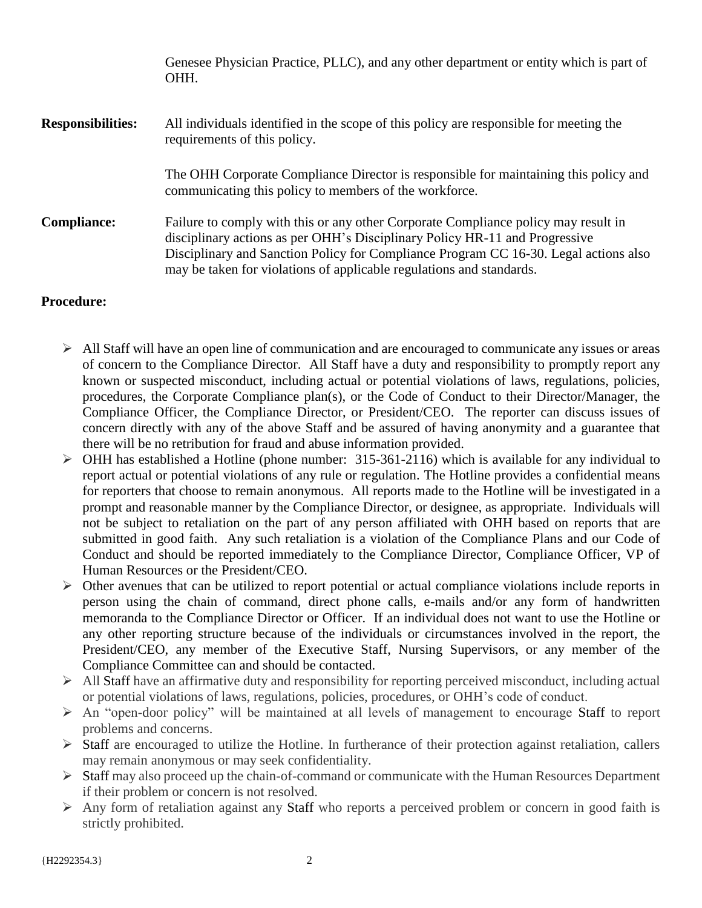Genesee Physician Practice, PLLC), and any other department or entity which is part of OHH. **Responsibilities:** All individuals identified in the scope of this policy are responsible for meeting the requirements of this policy. The OHH Corporate Compliance Director is responsible for maintaining this policy and communicating this policy to members of the workforce. **Compliance:** Failure to comply with this or any other Corporate Compliance policy may result in disciplinary actions as per OHH's Disciplinary Policy HR-11 and Progressive Disciplinary and Sanction Policy for Compliance Program CC 16-30. Legal actions also may be taken for violations of applicable regulations and standards.

# **Procedure:**

- $\triangleright$  All Staff will have an open line of communication and are encouraged to communicate any issues or areas of concern to the Compliance Director. All Staff have a duty and responsibility to promptly report any known or suspected misconduct, including actual or potential violations of laws, regulations, policies, procedures, the Corporate Compliance plan(s), or the Code of Conduct to their Director/Manager, the Compliance Officer, the Compliance Director, or President/CEO. The reporter can discuss issues of concern directly with any of the above Staff and be assured of having anonymity and a guarantee that there will be no retribution for fraud and abuse information provided.
- $\triangleright$  OHH has established a Hotline (phone number: 315-361-2116) which is available for any individual to report actual or potential violations of any rule or regulation. The Hotline provides a confidential means for reporters that choose to remain anonymous. All reports made to the Hotline will be investigated in a prompt and reasonable manner by the Compliance Director, or designee, as appropriate. Individuals will not be subject to retaliation on the part of any person affiliated with OHH based on reports that are submitted in good faith. Any such retaliation is a violation of the Compliance Plans and our Code of Conduct and should be reported immediately to the Compliance Director, Compliance Officer, VP of Human Resources or the President/CEO.
- $\triangleright$  Other avenues that can be utilized to report potential or actual compliance violations include reports in person using the chain of command, direct phone calls, e-mails and/or any form of handwritten memoranda to the Compliance Director or Officer. If an individual does not want to use the Hotline or any other reporting structure because of the individuals or circumstances involved in the report, the President/CEO, any member of the Executive Staff, Nursing Supervisors, or any member of the Compliance Committee can and should be contacted.
- $\triangleright$  All Staff have an affirmative duty and responsibility for reporting perceived misconduct, including actual or potential violations of laws, regulations, policies, procedures, or OHH's code of conduct.
- $\triangleright$  An "open-door policy" will be maintained at all levels of management to encourage Staff to report problems and concerns.
- Staff are encouraged to utilize the Hotline. In furtherance of their protection against retaliation, callers may remain anonymous or may seek confidentiality.
- $\triangleright$  Staff may also proceed up the chain-of-command or communicate with the Human Resources Department if their problem or concern is not resolved.
- Any form of retaliation against any Staff who reports a perceived problem or concern in good faith is strictly prohibited.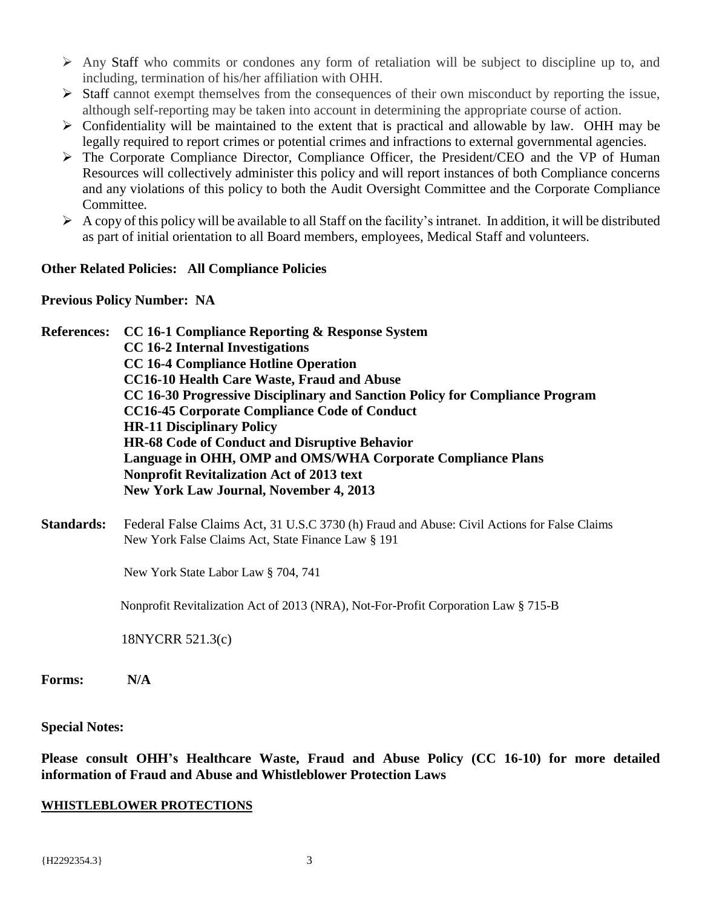- $\triangleright$  Any Staff who commits or condones any form of retaliation will be subject to discipline up to, and including, termination of his/her affiliation with OHH.
- $\triangleright$  Staff cannot exempt themselves from the consequences of their own misconduct by reporting the issue, although self-reporting may be taken into account in determining the appropriate course of action.
- $\triangleright$  Confidentiality will be maintained to the extent that is practical and allowable by law. OHH may be legally required to report crimes or potential crimes and infractions to external governmental agencies.
- The Corporate Compliance Director, Compliance Officer, the President/CEO and the VP of Human Resources will collectively administer this policy and will report instances of both Compliance concerns and any violations of this policy to both the Audit Oversight Committee and the Corporate Compliance Committee.
- $\triangleright$  A copy of this policy will be available to all Staff on the facility's intranet. In addition, it will be distributed as part of initial orientation to all Board members, employees, Medical Staff and volunteers.

# **Other Related Policies: All Compliance Policies**

# **Previous Policy Number: NA**

**References: CC 16-1 Compliance Reporting & Response System CC 16-2 Internal Investigations CC 16-4 Compliance Hotline Operation CC16-10 Health Care Waste, Fraud and Abuse CC 16-30 Progressive Disciplinary and Sanction Policy for Compliance Program CC16-45 Corporate Compliance Code of Conduct HR-11 Disciplinary Policy HR-68 Code of Conduct and Disruptive Behavior Language in OHH, OMP and OMS/WHA Corporate Compliance Plans Nonprofit Revitalization Act of 2013 text New York Law Journal, November 4, 2013**

**Standards:** Federal False Claims Act, 31 U.S.C 3730 (h) Fraud and Abuse: Civil Actions for False Claims New York False Claims Act, State Finance Law § 191

New York State Labor Law § 704, 741

Nonprofit Revitalization Act of 2013 (NRA), Not-For-Profit Corporation Law § 715-B

18NYCRR 521.3(c)

**Forms: N/A**

# **Special Notes:**

**Please consult OHH's Healthcare Waste, Fraud and Abuse Policy (CC 16-10) for more detailed information of Fraud and Abuse and Whistleblower Protection Laws** 

#### **WHISTLEBLOWER PROTECTIONS**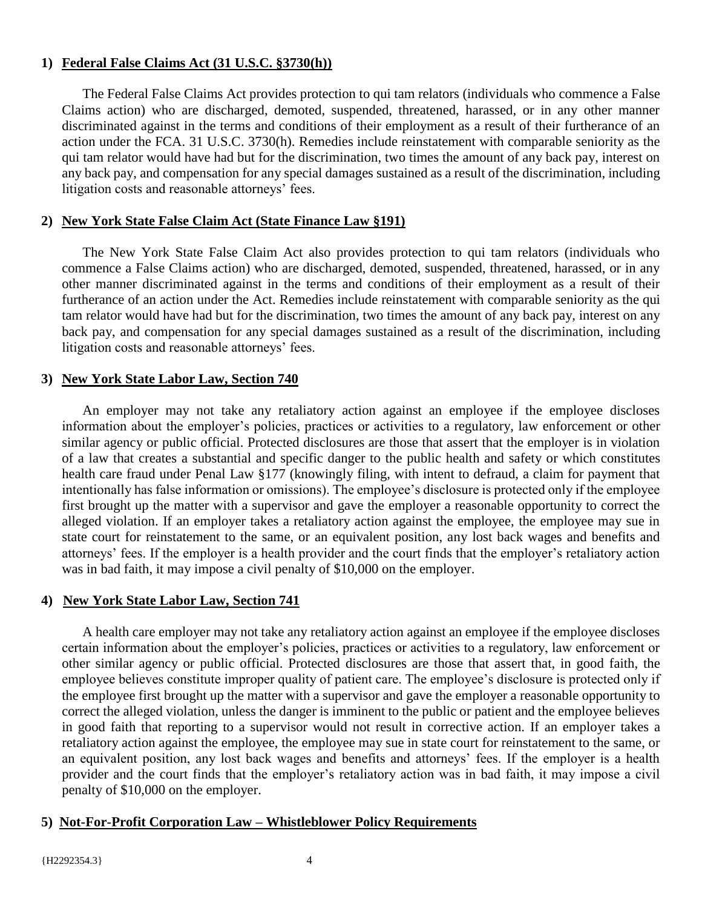# **1) Federal False Claims Act (31 U.S.C. §3730(h))**

The Federal False Claims Act provides protection to qui tam relators (individuals who commence a False Claims action) who are discharged, demoted, suspended, threatened, harassed, or in any other manner discriminated against in the terms and conditions of their employment as a result of their furtherance of an action under the FCA. 31 U.S.C. 3730(h). Remedies include reinstatement with comparable seniority as the qui tam relator would have had but for the discrimination, two times the amount of any back pay, interest on any back pay, and compensation for any special damages sustained as a result of the discrimination, including litigation costs and reasonable attorneys' fees.

# **2) New York State False Claim Act (State Finance Law §191)**

The New York State False Claim Act also provides protection to qui tam relators (individuals who commence a False Claims action) who are discharged, demoted, suspended, threatened, harassed, or in any other manner discriminated against in the terms and conditions of their employment as a result of their furtherance of an action under the Act. Remedies include reinstatement with comparable seniority as the qui tam relator would have had but for the discrimination, two times the amount of any back pay, interest on any back pay, and compensation for any special damages sustained as a result of the discrimination, including litigation costs and reasonable attorneys' fees.

# **3) New York State Labor Law, Section 740**

An employer may not take any retaliatory action against an employee if the employee discloses information about the employer's policies, practices or activities to a regulatory, law enforcement or other similar agency or public official. Protected disclosures are those that assert that the employer is in violation of a law that creates a substantial and specific danger to the public health and safety or which constitutes health care fraud under Penal Law §177 (knowingly filing, with intent to defraud, a claim for payment that intentionally has false information or omissions). The employee's disclosure is protected only if the employee first brought up the matter with a supervisor and gave the employer a reasonable opportunity to correct the alleged violation. If an employer takes a retaliatory action against the employee, the employee may sue in state court for reinstatement to the same, or an equivalent position, any lost back wages and benefits and attorneys' fees. If the employer is a health provider and the court finds that the employer's retaliatory action was in bad faith, it may impose a civil penalty of \$10,000 on the employer.

# **4) New York State Labor Law, Section 741**

A health care employer may not take any retaliatory action against an employee if the employee discloses certain information about the employer's policies, practices or activities to a regulatory, law enforcement or other similar agency or public official. Protected disclosures are those that assert that, in good faith, the employee believes constitute improper quality of patient care. The employee's disclosure is protected only if the employee first brought up the matter with a supervisor and gave the employer a reasonable opportunity to correct the alleged violation, unless the danger is imminent to the public or patient and the employee believes in good faith that reporting to a supervisor would not result in corrective action. If an employer takes a retaliatory action against the employee, the employee may sue in state court for reinstatement to the same, or an equivalent position, any lost back wages and benefits and attorneys' fees. If the employer is a health provider and the court finds that the employer's retaliatory action was in bad faith, it may impose a civil penalty of \$10,000 on the employer.

# **5) Not-For-Profit Corporation Law – Whistleblower Policy Requirements**

#### {H2292354.3} 4